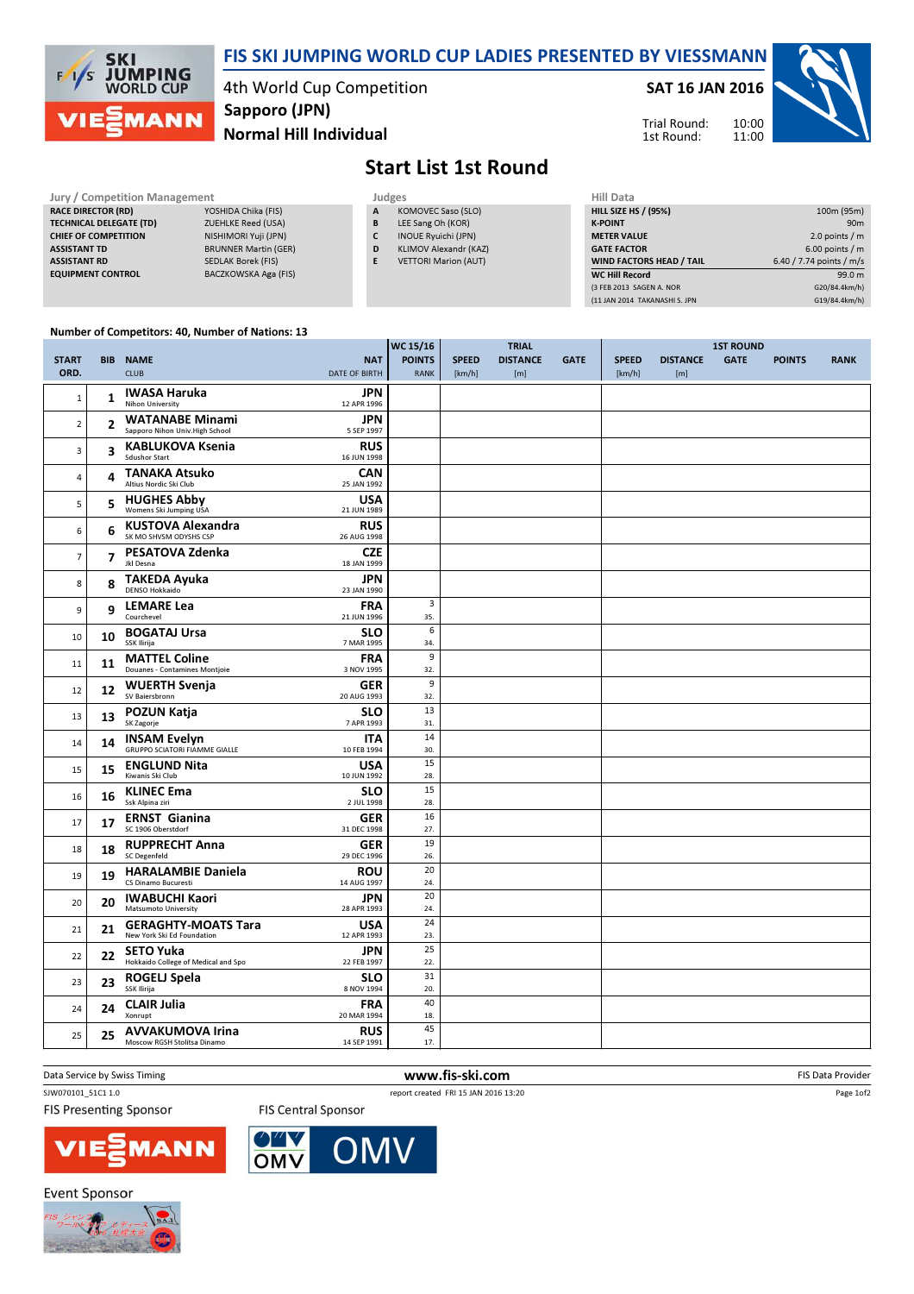

### FIS SKI JUMPING WORLD CUP LADIES PRESENTED BY VIESSMANN

4th World Cup Competition Normal Hill Individual Sapporo (JPN)

SAT 16 JAN 2016

Trial Round: 1st Round:



# Start List 1st Round

#### Jury / Competition Management<br>RACE DIRECTOR (RD) YOSHIDA Chika (FIS) RACE DIRECTOR (RD) TECHNICAL DELEGATE (TD) ZUEHLKE Reed (USA) CHIEF OF COMPETITION NISHIMORI Yuji (JPN) **ASSISTANT TD** BRUNNER Martin (GER) ASSISTANT RD SEDLAK Borek (FIS) EQUIPMENT CONTROL BACZKOWSKA Aga (FIS)

|              | Judges             |
|--------------|--------------------|
| $\mathbf{A}$ | KOMOVEC Saso (SLO) |

- B LEE Sang Oh (KOR)
- C INOUE Ryuichi (JPN)
- D KLIMOV Alexandr (KAZ)
- E VETTORI Marion (AUT)

| <b>HILL SIZE HS / (95%)</b><br>100m (95m)<br><b>K-POINT</b><br>90 <sub>m</sub><br>2.0 points $/m$<br><b>METER VALUE</b> |
|-------------------------------------------------------------------------------------------------------------------------|
|                                                                                                                         |
|                                                                                                                         |
|                                                                                                                         |
| $6.00$ points / m<br><b>GATE FACTOR</b>                                                                                 |
| 6.40 / 7.74 points / m/s<br><b>WIND FACTORS HEAD / TAIL</b>                                                             |
| <b>WC Hill Record</b><br>99.0 m                                                                                         |
| (3 FEB 2013 SAGEN A. NOR<br>G20/84.4km/h)                                                                               |
| G19/84.4km/h)<br>(11 JAN 2014 TAKANASHI S. JPN                                                                          |

10:00 11:00

### Number of Competitors: 40, Number of Nations: 13

|                |            |                                                       |                           | WC 15/16      | <b>TRIAL</b> |                 |             |              | <b>1ST ROUND</b> |             |               |             |  |  |
|----------------|------------|-------------------------------------------------------|---------------------------|---------------|--------------|-----------------|-------------|--------------|------------------|-------------|---------------|-------------|--|--|
| <b>START</b>   | <b>BIB</b> | <b>NAME</b>                                           | <b>NAT</b>                | <b>POINTS</b> | <b>SPEED</b> | <b>DISTANCE</b> | <b>GATE</b> | <b>SPEED</b> | <b>DISTANCE</b>  | <b>GATE</b> | <b>POINTS</b> | <b>RANK</b> |  |  |
| ORD.           |            | <b>CLUB</b>                                           | <b>DATE OF BIRTH</b>      | <b>RANK</b>   | [km/h]       | [m]             |             | [km/h]       | [m]              |             |               |             |  |  |
|                |            |                                                       |                           |               |              |                 |             |              |                  |             |               |             |  |  |
| $\mathbf{1}$   | 1          | <b>IWASA Haruka</b><br><b>Nihon University</b>        | <b>JPN</b><br>12 APR 1996 |               |              |                 |             |              |                  |             |               |             |  |  |
|                |            | <b>WATANABE Minami</b>                                | <b>JPN</b>                |               |              |                 |             |              |                  |             |               |             |  |  |
| $\overline{2}$ | 2          | Sapporo Nihon Univ. High School                       | 5 SEP 1997                |               |              |                 |             |              |                  |             |               |             |  |  |
|                |            | <b>KABLUKOVA Ksenia</b>                               | <b>RUS</b>                |               |              |                 |             |              |                  |             |               |             |  |  |
| 3              | 3          | <b>Sdushor Start</b>                                  | 16 JUN 1998               |               |              |                 |             |              |                  |             |               |             |  |  |
|                |            | <b>TANAKA Atsuko</b>                                  | <b>CAN</b>                |               |              |                 |             |              |                  |             |               |             |  |  |
| 4              | 4          | Altius Nordic Ski Club                                | 25 JAN 1992               |               |              |                 |             |              |                  |             |               |             |  |  |
|                |            | <b>HUGHES Abby</b>                                    | <b>USA</b>                |               |              |                 |             |              |                  |             |               |             |  |  |
| 5              | 5          | Womens Ski Jumping USA                                | 21 JUN 1989               |               |              |                 |             |              |                  |             |               |             |  |  |
| 6              | 6          | <b>KUSTOVA Alexandra</b>                              | <b>RUS</b>                |               |              |                 |             |              |                  |             |               |             |  |  |
|                |            | SK MO SHVSM ODYSHS CSP                                | 26 AUG 1998               |               |              |                 |             |              |                  |             |               |             |  |  |
| $\overline{7}$ | 7          | PESATOVA Zdenka                                       | <b>CZE</b>                |               |              |                 |             |              |                  |             |               |             |  |  |
|                |            | Jkl Desna                                             | 18 JAN 1999               |               |              |                 |             |              |                  |             |               |             |  |  |
| 8              | 8          | <b>TAKEDA Ayuka</b><br>DENSO Hokkaido                 | <b>JPN</b>                |               |              |                 |             |              |                  |             |               |             |  |  |
|                |            |                                                       | 23 JAN 1990               |               |              |                 |             |              |                  |             |               |             |  |  |
| 9              | 9          | <b>LEMARE Lea</b>                                     | <b>FRA</b>                | 3             |              |                 |             |              |                  |             |               |             |  |  |
|                |            | Courchevel                                            | 21 JUN 1996               | 35.           |              |                 |             |              |                  |             |               |             |  |  |
| 10             | 10         | <b>BOGATAJ Ursa</b><br>SSK Ilirija                    | <b>SLO</b><br>7 MAR 1995  | 6<br>34.      |              |                 |             |              |                  |             |               |             |  |  |
|                |            |                                                       |                           | 9             |              |                 |             |              |                  |             |               |             |  |  |
| 11             | 11         | <b>MATTEL Coline</b><br>Douanes - Contamines Montjoie | <b>FRA</b><br>3 NOV 1995  | 32.           |              |                 |             |              |                  |             |               |             |  |  |
|                |            | <b>WUERTH Svenja</b>                                  | <b>GER</b>                | 9             |              |                 |             |              |                  |             |               |             |  |  |
| 12             | 12         | SV Baiersbronn                                        | 20 AUG 1993               | 32.           |              |                 |             |              |                  |             |               |             |  |  |
|                |            | <b>POZUN Katja</b>                                    | <b>SLO</b>                | 13            |              |                 |             |              |                  |             |               |             |  |  |
| 13             | 13         | SK Zagorje                                            | 7 APR 1993                | 31.           |              |                 |             |              |                  |             |               |             |  |  |
| 14             |            | <b>INSAM Evelyn</b>                                   | <b>ITA</b>                | 14            |              |                 |             |              |                  |             |               |             |  |  |
|                | 14         | <b>GRUPPO SCIATORI FIAMME GIALLE</b>                  | 10 FEB 1994               | 30.           |              |                 |             |              |                  |             |               |             |  |  |
| 15             | 15         | <b>ENGLUND Nita</b>                                   | <b>USA</b>                | 15            |              |                 |             |              |                  |             |               |             |  |  |
|                |            | Kiwanis Ski Club                                      | 10 JUN 1992               | 28.           |              |                 |             |              |                  |             |               |             |  |  |
| 16             | 16         | <b>KLINEC Ema</b>                                     | <b>SLO</b>                | 15            |              |                 |             |              |                  |             |               |             |  |  |
|                |            | Ssk Alpina ziri                                       | 2 JUL 1998                | 28.           |              |                 |             |              |                  |             |               |             |  |  |
| 17             | 17         | <b>ERNST Gianina</b><br>SC 1906 Oberstdorf            | <b>GER</b>                | 16            |              |                 |             |              |                  |             |               |             |  |  |
|                |            |                                                       | 31 DEC 1998               | 27.           |              |                 |             |              |                  |             |               |             |  |  |
| 18             | 18         | <b>RUPPRECHT Anna</b><br><b>SC</b> Degenfeld          | <b>GER</b><br>29 DEC 1996 | 19<br>26.     |              |                 |             |              |                  |             |               |             |  |  |
|                |            |                                                       |                           | 20            |              |                 |             |              |                  |             |               |             |  |  |
| 19             | 19         | <b>HARALAMBIE Daniela</b><br>CS Dinamo Bucuresti      | <b>ROU</b><br>14 AUG 1997 | 24.           |              |                 |             |              |                  |             |               |             |  |  |
|                |            | <b>IWABUCHI Kaori</b>                                 | <b>JPN</b>                | 20            |              |                 |             |              |                  |             |               |             |  |  |
| 20             | 20         | Matsumoto University                                  | 28 APR 1993               | 24.           |              |                 |             |              |                  |             |               |             |  |  |
|                |            | <b>GERAGHTY-MOATS Tara</b>                            | <b>USA</b>                | 24            |              |                 |             |              |                  |             |               |             |  |  |
| 21             | 21         | New York Ski Ed Foundation                            | 12 APR 1993               | 23.           |              |                 |             |              |                  |             |               |             |  |  |
|                |            | <b>SETO Yuka</b>                                      | JPN                       | 25            |              |                 |             |              |                  |             |               |             |  |  |
| 22             | 22         | Hokkaido College of Medical and Spo                   | 22 FEB 1997               | 22.           |              |                 |             |              |                  |             |               |             |  |  |
| 23             | 23         | ROGELJ Spela                                          | <b>SLO</b>                | 31            |              |                 |             |              |                  |             |               |             |  |  |
|                |            | SSK Ilirija                                           | 8 NOV 1994                | 20.           |              |                 |             |              |                  |             |               |             |  |  |
| 24             | 24         | <b>CLAIR Julia</b>                                    | <b>FRA</b>                | 40            |              |                 |             |              |                  |             |               |             |  |  |
|                |            | Xonrupt                                               | 20 MAR 1994               | 18.           |              |                 |             |              |                  |             |               |             |  |  |
| 25             | 25         | <b>AVVAKUMOVA Irina</b>                               | <b>RUS</b>                | 45            |              |                 |             |              |                  |             |               |             |  |  |
|                |            | Moscow RGSH Stolitsa Dinamo                           | 14 SEP 1991               | 17.           |              |                 |             |              |                  |             |               |             |  |  |

**FIS Presenting Sponsor** 

SJW070101\_51C1 1.0 report created FRI 15 JAN 2016 13:20

Data Service by Swiss Timing **EXECUTE:** The Service by Swiss Timing FIS Data Provider

Page 1of2



**Event Sponsor** 



**FIS Central Sponsor**